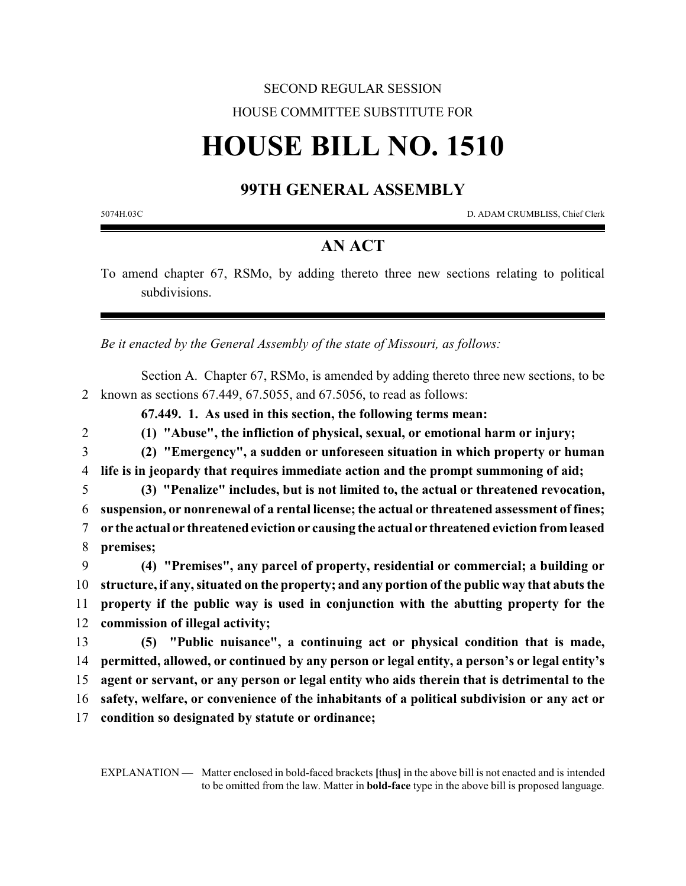## SECOND REGULAR SESSION HOUSE COMMITTEE SUBSTITUTE FOR

# **HOUSE BILL NO. 1510**

#### **99TH GENERAL ASSEMBLY**

5074H.03C D. ADAM CRUMBLISS, Chief Clerk

### **AN ACT**

To amend chapter 67, RSMo, by adding thereto three new sections relating to political subdivisions.

*Be it enacted by the General Assembly of the state of Missouri, as follows:*

Section A. Chapter 67, RSMo, is amended by adding thereto three new sections, to be 2 known as sections 67.449, 67.5055, and 67.5056, to read as follows:

**67.449. 1. As used in this section, the following terms mean:**

2 **(1) "Abuse", the infliction of physical, sexual, or emotional harm or injury;**

- 3 **(2) "Emergency", a sudden or unforeseen situation in which property or human** 4 **life is in jeopardy that requires immediate action and the prompt summoning of aid;**
- 5 **(3) "Penalize" includes, but is not limited to, the actual or threatened revocation,** 6 **suspension, or nonrenewal of a rental license; the actual or threatened assessment of fines;** 7 **or the actual or threatened eviction or causing the actual or threatened eviction fromleased** 8 **premises;**

 **(4) "Premises", any parcel of property, residential or commercial; a building or structure, if any, situated on the property; and any portion of the public way that abuts the property if the public way is used in conjunction with the abutting property for the commission of illegal activity;**

 **(5) "Public nuisance", a continuing act or physical condition that is made, permitted, allowed, or continued by any person or legal entity, a person's or legal entity's agent or servant, or any person or legal entity who aids therein that is detrimental to the safety, welfare, or convenience of the inhabitants of a political subdivision or any act or condition so designated by statute or ordinance;**

EXPLANATION — Matter enclosed in bold-faced brackets **[**thus**]** in the above bill is not enacted and is intended to be omitted from the law. Matter in **bold-face** type in the above bill is proposed language.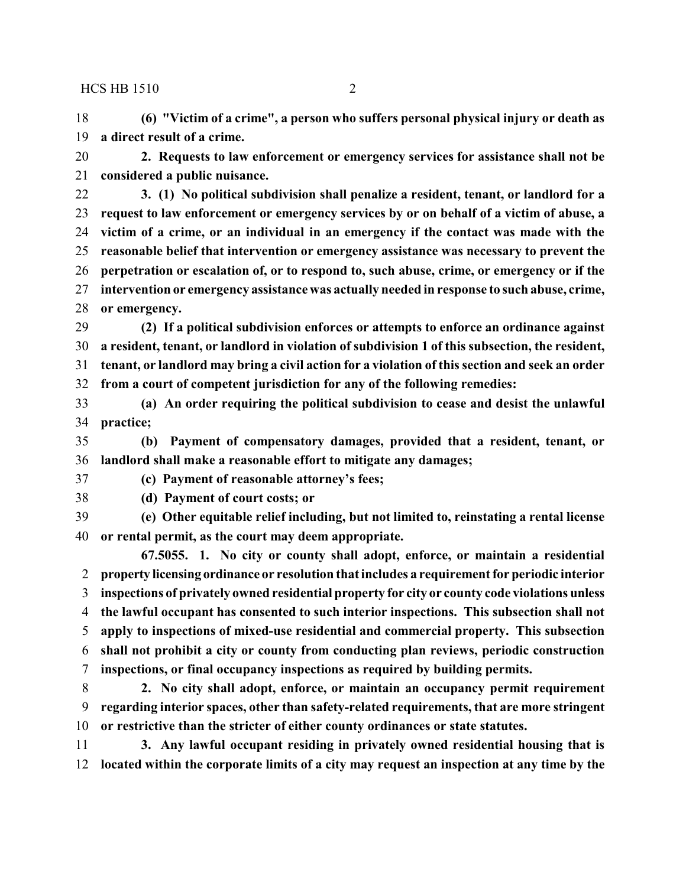**(6) "Victim of a crime", a person who suffers personal physical injury or death as a direct result of a crime.**

 **2. Requests to law enforcement or emergency services for assistance shall not be considered a public nuisance.**

 **3. (1) No political subdivision shall penalize a resident, tenant, or landlord for a request to law enforcement or emergency services by or on behalf of a victim of abuse, a victim of a crime, or an individual in an emergency if the contact was made with the reasonable belief that intervention or emergency assistance was necessary to prevent the perpetration or escalation of, or to respond to, such abuse, crime, or emergency or if the intervention or emergency assistance was actually needed in response to such abuse, crime, or emergency.**

 **(2) If a political subdivision enforces or attempts to enforce an ordinance against a resident, tenant, or landlord in violation of subdivision 1 of this subsection, the resident, tenant, or landlord may bring a civil action for a violation of this section and seek an order from a court of competent jurisdiction for any of the following remedies:**

 **(a) An order requiring the political subdivision to cease and desist the unlawful practice;**

 **(b) Payment of compensatory damages, provided that a resident, tenant, or landlord shall make a reasonable effort to mitigate any damages;**

**(c) Payment of reasonable attorney's fees;**

**(d) Payment of court costs; or**

 **(e) Other equitable relief including, but not limited to, reinstating a rental license or rental permit, as the court may deem appropriate.**

**67.5055. 1. No city or county shall adopt, enforce, or maintain a residential property licensing ordinance or resolution that includes a requirement for periodic interior inspections of privately owned residential property for city or county code violations unless the lawful occupant has consented to such interior inspections. This subsection shall not apply to inspections of mixed-use residential and commercial property. This subsection shall not prohibit a city or county from conducting plan reviews, periodic construction inspections, or final occupancy inspections as required by building permits.**

 **2. No city shall adopt, enforce, or maintain an occupancy permit requirement regarding interior spaces, other than safety-related requirements, that are more stringent or restrictive than the stricter of either county ordinances or state statutes.**

 **3. Any lawful occupant residing in privately owned residential housing that is located within the corporate limits of a city may request an inspection at any time by the**